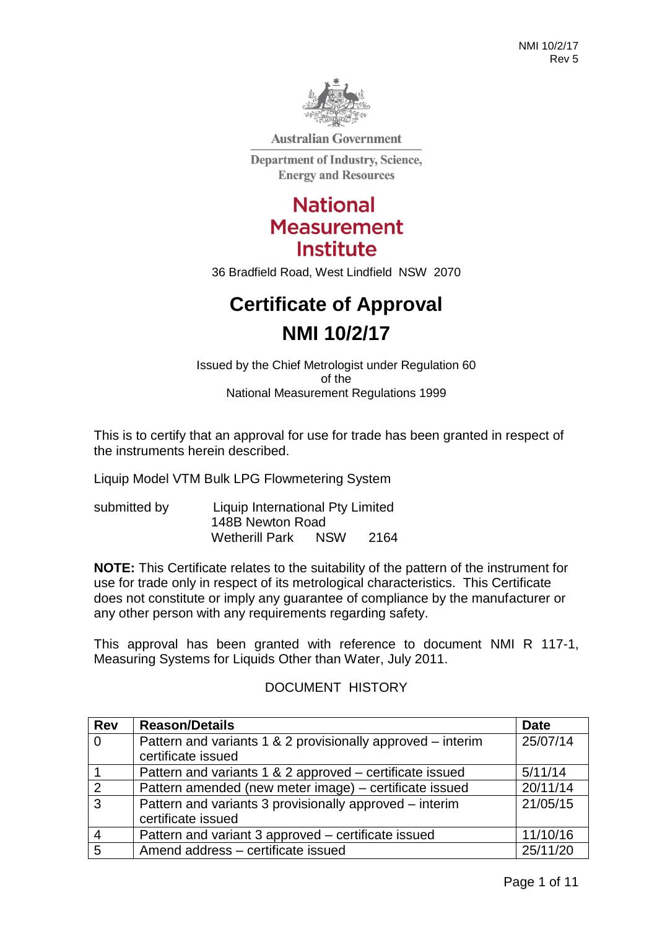

**Australian Government** 

**Department of Industry, Science, Energy and Resources** 

## **National Measurement Institute**

36 Bradfield Road, West Lindfield NSW 2070

# **Certificate of Approval NMI 10/2/17**

Issued by the Chief Metrologist under Regulation 60 of the National Measurement Regulations 1999

This is to certify that an approval for use for trade has been granted in respect of the instruments herein described.

Liquip Model VTM Bulk LPG Flowmetering System

submitted by Liquip International Pty Limited 148B Newton Road<br>Wetherill Park NSW Wetherill Park NSW 2164

**NOTE:** This Certificate relates to the suitability of the pattern of the instrument for use for trade only in respect of its metrological characteristics. This Certificate does not constitute or imply any guarantee of compliance by the manufacturer or any other person with any requirements regarding safety.

This approval has been granted with reference to document NMI R 117-1, Measuring Systems for Liquids Other than Water, July 2011.

## DOCUMENT HISTORY

| <b>Rev</b>     | <b>Reason/Details</b>                                       | <b>Date</b> |
|----------------|-------------------------------------------------------------|-------------|
| $\overline{0}$ | Pattern and variants 1 & 2 provisionally approved – interim | 25/07/14    |
|                | certificate issued                                          |             |
|                | Pattern and variants 1 & 2 approved – certificate issued    | 5/11/14     |
| 2              | Pattern amended (new meter image) – certificate issued      | 20/11/14    |
| 3              | Pattern and variants 3 provisionally approved – interim     | 21/05/15    |
|                | certificate issued                                          |             |
|                | Pattern and variant 3 approved - certificate issued         | 11/10/16    |
| 5              | Amend address - certificate issued                          | 25/11/20    |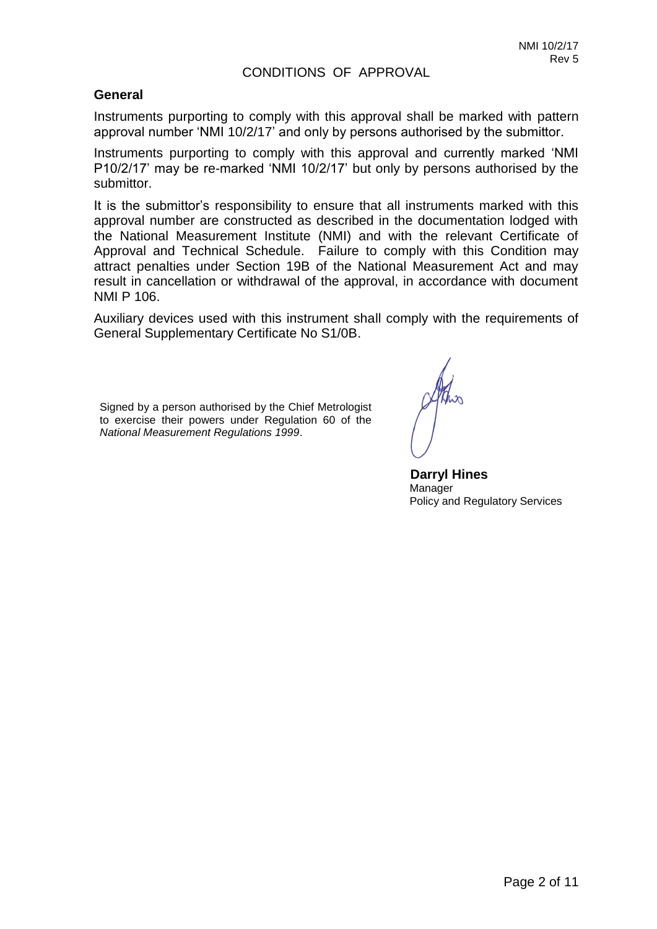#### **General**

Instruments purporting to comply with this approval shall be marked with pattern approval number 'NMI 10/2/17' and only by persons authorised by the submittor.

Instruments purporting to comply with this approval and currently marked 'NMI P10/2/17' may be re-marked 'NMI 10/2/17' but only by persons authorised by the submittor.

It is the submittor's responsibility to ensure that all instruments marked with this approval number are constructed as described in the documentation lodged with the National Measurement Institute (NMI) and with the relevant Certificate of Approval and Technical Schedule. Failure to comply with this Condition may attract penalties under Section 19B of the National Measurement Act and may result in cancellation or withdrawal of the approval, in accordance with document NMI P 106.

Auxiliary devices used with this instrument shall comply with the requirements of General Supplementary Certificate No S1/0B.

Signed by a person authorised by the Chief Metrologist to exercise their powers under Regulation 60 of the *National Measurement Regulations 1999*.

 **Darryl Hines** Manager Policy and Regulatory Services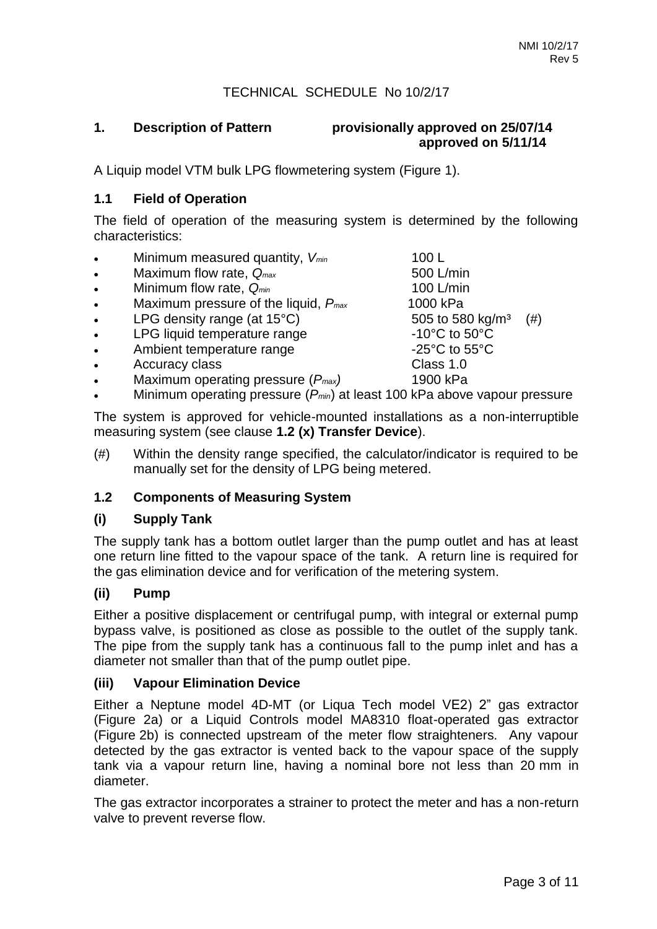#### TECHNICAL SCHEDULE No 10/2/17

#### **1. Description of Pattern provisionally approved on 25/07/14 approved on 5/11/14**

A Liquip model VTM bulk LPG flowmetering system (Figure 1).

#### **1.1 Field of Operation**

The field of operation of the measuring system is determined by the following characteristics:

- Minimum measured quantity, *Vmin* 100 L
- Maximum flow rate,  $Q_{max}$  600 L/min
- Minimum flow rate,  $Q_{min}$  and the manufacture of the Minimum of the Minimum of the Minimum of the Minimum of the Minimum of the Minimum of the Minimum of the Minimum of the Minimum of the Minimum of the Minimum of the Mi
- Maximum pressure of the liquid, *Pmax* 1000 kPa
- 
- LPG liquid temperature range
- Ambient temperature range  $-25^{\circ}$ C to  $55^{\circ}$ C
- Accuracy class **Class 1.0**
- Maximum operating pressure (*Pmax)* 1900 kPa
- Minimum operating pressure (*Pmin*) at least 100 kPa above vapour pressure

The system is approved for vehicle-mounted installations as a non-interruptible measuring system (see clause **1.2 (x) Transfer Device**).

(#) Within the density range specified, the calculator/indicator is required to be manually set for the density of LPG being metered.

#### **1.2 Components of Measuring System**

#### **(i) Supply Tank**

The supply tank has a bottom outlet larger than the pump outlet and has at least one return line fitted to the vapour space of the tank. A return line is required for the gas elimination device and for verification of the metering system.

#### **(ii) Pump**

Either a positive displacement or centrifugal pump, with integral or external pump bypass valve, is positioned as close as possible to the outlet of the supply tank. The pipe from the supply tank has a continuous fall to the pump inlet and has a diameter not smaller than that of the pump outlet pipe.

#### **(iii) Vapour Elimination Device**

Either a Neptune model 4D-MT (or Liqua Tech model VE2) 2" gas extractor (Figure 2a) or a Liquid Controls model MA8310 float-operated gas extractor (Figure 2b) is connected upstream of the meter flow straighteners. Any vapour detected by the gas extractor is vented back to the vapour space of the supply tank via a vapour return line, having a nominal bore not less than 20 mm in diameter.

The gas extractor incorporates a strainer to protect the meter and has a non-return valve to prevent reverse flow.

LPG density range (at 15°C) 505 to 580 kg/m<sup>3</sup> (#)<br>LPG liquid temperature range  $10^{\circ}$ C to 50°C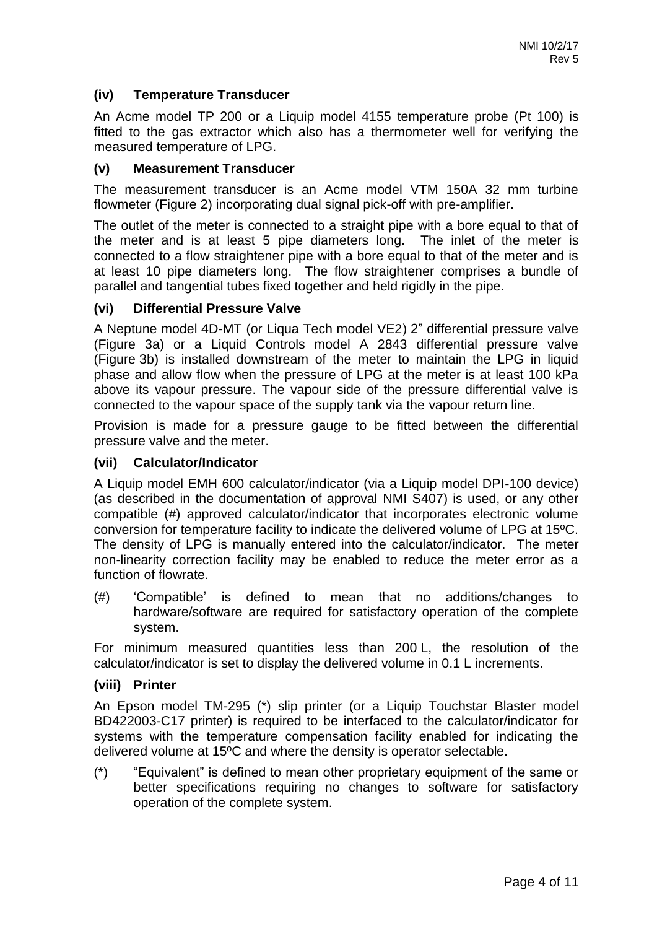#### **(iv) Temperature Transducer**

An Acme model TP 200 or a Liquip model 4155 temperature probe (Pt 100) is fitted to the gas extractor which also has a thermometer well for verifying the measured temperature of LPG.

#### **(v) Measurement Transducer**

The measurement transducer is an Acme model VTM 150A 32 mm turbine flowmeter (Figure 2) incorporating dual signal pick-off with pre-amplifier.

The outlet of the meter is connected to a straight pipe with a bore equal to that of the meter and is at least 5 pipe diameters long. The inlet of the meter is connected to a flow straightener pipe with a bore equal to that of the meter and is at least 10 pipe diameters long. The flow straightener comprises a bundle of parallel and tangential tubes fixed together and held rigidly in the pipe.

#### **(vi) Differential Pressure Valve**

A Neptune model 4D-MT (or Liqua Tech model VE2) 2" differential pressure valve (Figure 3a) or a Liquid Controls model A 2843 differential pressure valve (Figure 3b) is installed downstream of the meter to maintain the LPG in liquid phase and allow flow when the pressure of LPG at the meter is at least 100 kPa above its vapour pressure. The vapour side of the pressure differential valve is connected to the vapour space of the supply tank via the vapour return line.

Provision is made for a pressure gauge to be fitted between the differential pressure valve and the meter.

#### **(vii) Calculator/Indicator**

A Liquip model EMH 600 calculator/indicator (via a Liquip model DPI-100 device) (as described in the documentation of approval NMI S407) is used, or any other compatible (#) approved calculator/indicator that incorporates electronic volume conversion for temperature facility to indicate the delivered volume of LPG at 15ºC. The density of LPG is manually entered into the calculator/indicator. The meter non-linearity correction facility may be enabled to reduce the meter error as a function of flowrate.

(#) 'Compatible' is defined to mean that no additions/changes to hardware/software are required for satisfactory operation of the complete system.

For minimum measured quantities less than 200 L, the resolution of the calculator/indicator is set to display the delivered volume in 0.1 L increments.

#### **(viii) Printer**

An Epson model TM-295 (\*) slip printer (or a Liquip Touchstar Blaster model BD422003-C17 printer) is required to be interfaced to the calculator/indicator for systems with the temperature compensation facility enabled for indicating the delivered volume at 15ºC and where the density is operator selectable.

(\*) "Equivalent" is defined to mean other proprietary equipment of the same or better specifications requiring no changes to software for satisfactory operation of the complete system.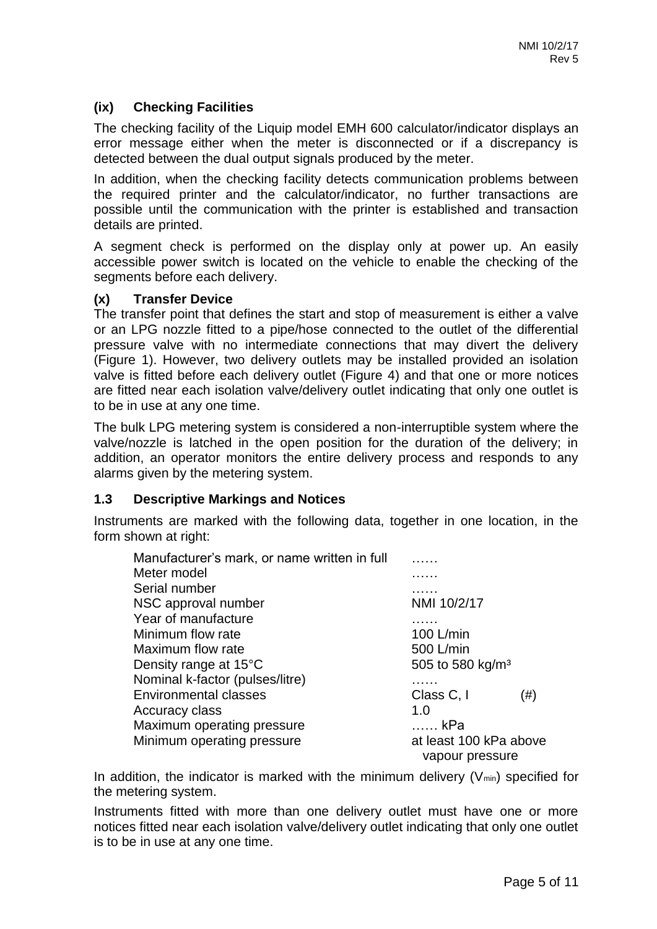## **(ix) Checking Facilities**

The checking facility of the Liquip model EMH 600 calculator/indicator displays an error message either when the meter is disconnected or if a discrepancy is detected between the dual output signals produced by the meter.

In addition, when the checking facility detects communication problems between the required printer and the calculator/indicator, no further transactions are possible until the communication with the printer is established and transaction details are printed.

A segment check is performed on the display only at power up. An easily accessible power switch is located on the vehicle to enable the checking of the segments before each delivery.

#### **(x) Transfer Device**

The transfer point that defines the start and stop of measurement is either a valve or an LPG nozzle fitted to a pipe/hose connected to the outlet of the differential pressure valve with no intermediate connections that may divert the delivery (Figure 1). However, two delivery outlets may be installed provided an isolation valve is fitted before each delivery outlet (Figure 4) and that one or more notices are fitted near each isolation valve/delivery outlet indicating that only one outlet is to be in use at any one time.

The bulk LPG metering system is considered a non-interruptible system where the valve/nozzle is latched in the open position for the duration of the delivery; in addition, an operator monitors the entire delivery process and responds to any alarms given by the metering system.

#### **1.3 Descriptive Markings and Notices**

Instruments are marked with the following data, together in one location, in the form shown at right:

| Manufacturer's mark, or name written in full |                                           |     |  |
|----------------------------------------------|-------------------------------------------|-----|--|
| Meter model                                  |                                           |     |  |
| Serial number                                |                                           |     |  |
| NSC approval number                          | NMI 10/2/17                               |     |  |
| Year of manufacture                          |                                           |     |  |
| Minimum flow rate                            | 100 L/min                                 |     |  |
| Maximum flow rate                            | 500 L/min                                 |     |  |
| Density range at 15°C                        | 505 to 580 kg/m <sup>3</sup>              |     |  |
| Nominal k-factor (pulses/litre)              |                                           |     |  |
| <b>Environmental classes</b>                 | Class C, I                                | (#) |  |
| <b>Accuracy class</b>                        | 1.0                                       |     |  |
| Maximum operating pressure                   | …… kPa                                    |     |  |
| Minimum operating pressure                   | at least 100 kPa above<br>vapour pressure |     |  |

In addition, the indicator is marked with the minimum delivery  $(V_{min})$  specified for the metering system.

Instruments fitted with more than one delivery outlet must have one or more notices fitted near each isolation valve/delivery outlet indicating that only one outlet is to be in use at any one time.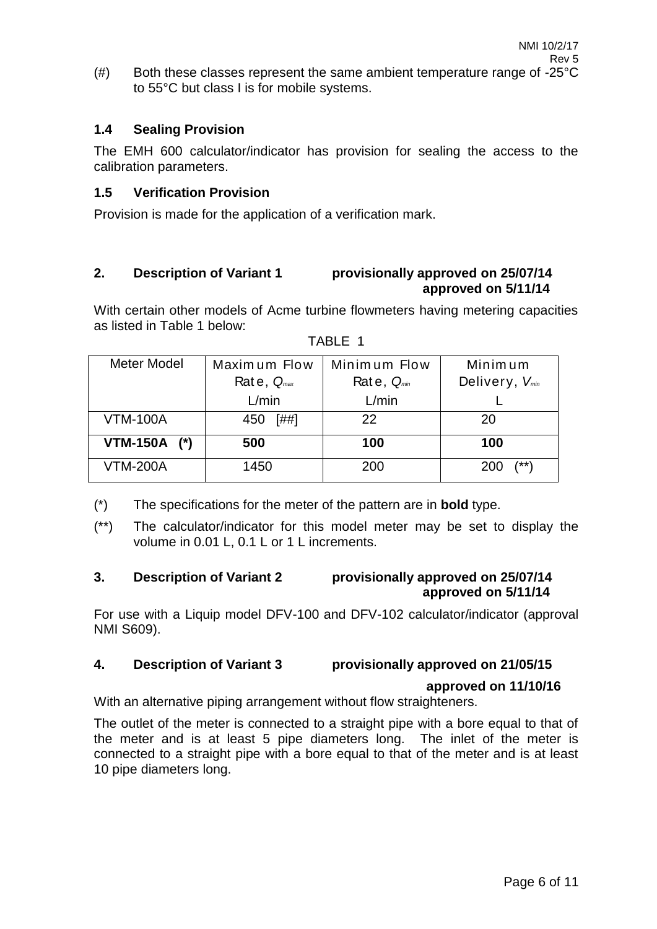$(\#)$  Both these classes represent the same ambient temperature range of -25 $^{\circ}$ C to 55°C but class I is for mobile systems.

## **1.4 Sealing Provision**

The EMH 600 calculator/indicator has provision for sealing the access to the calibration parameters.

## **1.5 Verification Provision**

Provision is made for the application of a verification mark.

#### **2. Description of Variant 1 provisionally approved on 25/07/14 approved on 5/11/14**

With certain other models of Acme turbine flowmeters having metering capacities as listed in Table 1 below:

| Meter Model     | Maximum Flow    | Minimum Flow    | Minim um                   |
|-----------------|-----------------|-----------------|----------------------------|
|                 | Rate, $Q_{max}$ | Rate, $Q_{min}$ | Delivery, V <sub>min</sub> |
|                 | L/min           | L/min           |                            |
| <b>VTM-100A</b> | [##]<br>450     | 22              | 20                         |
| VTM-150A (*)    | 500             | 100             | 100                        |
| <b>VTM-200A</b> | 1450            | 200             | $(***)$<br>200             |

- (\*) The specifications for the meter of the pattern are in **bold** type.
- (\*\*) The calculator/indicator for this model meter may be set to display the volume in 0.01 L, 0.1 L or 1 L increments.

#### **3. Description of Variant 2 provisionally approved on 25/07/14 approved on 5/11/14**

For use with a Liquip model DFV-100 and DFV-102 calculator/indicator (approval NMI S609).

## **4. Description of Variant 3 provisionally approved on 21/05/15**

#### **approved on 11/10/16**

With an alternative piping arrangement without flow straighteners.

The outlet of the meter is connected to a straight pipe with a bore equal to that of the meter and is at least 5 pipe diameters long. The inlet of the meter is connected to a straight pipe with a bore equal to that of the meter and is at least 10 pipe diameters long.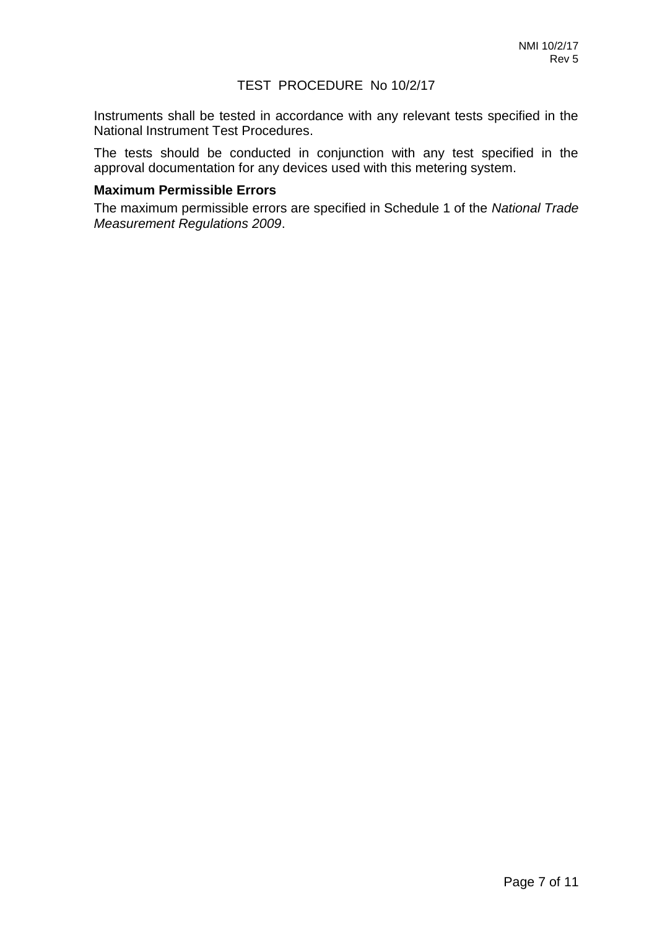#### TEST PROCEDURE No 10/2/17

Instruments shall be tested in accordance with any relevant tests specified in the National Instrument Test Procedures.

The tests should be conducted in conjunction with any test specified in the approval documentation for any devices used with this metering system.

#### **Maximum Permissible Errors**

The maximum permissible errors are specified in Schedule 1 of the *National Trade Measurement Regulations 2009*.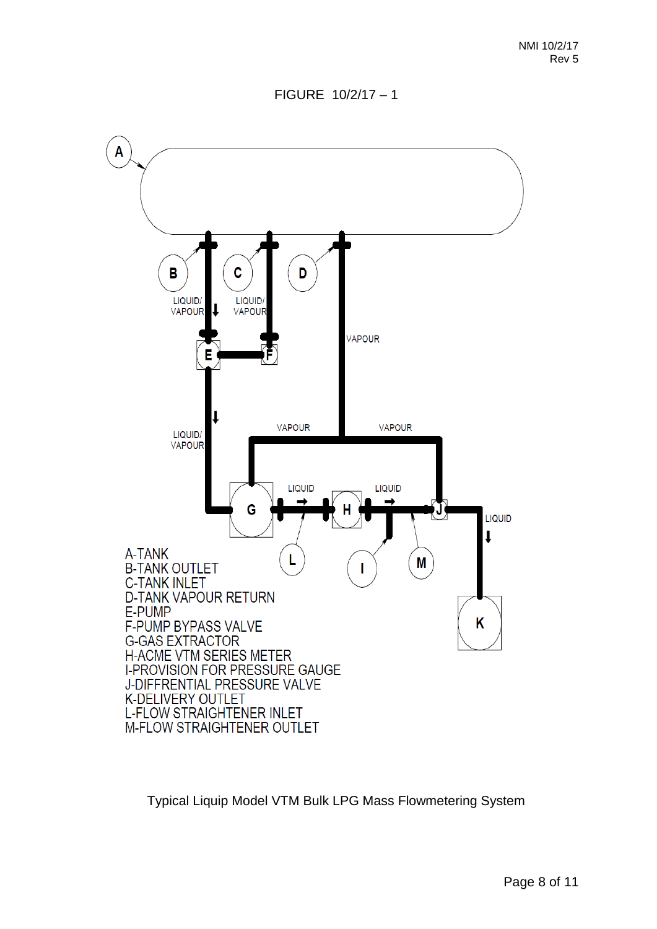

Typical Liquip Model VTM Bulk LPG Mass Flowmetering System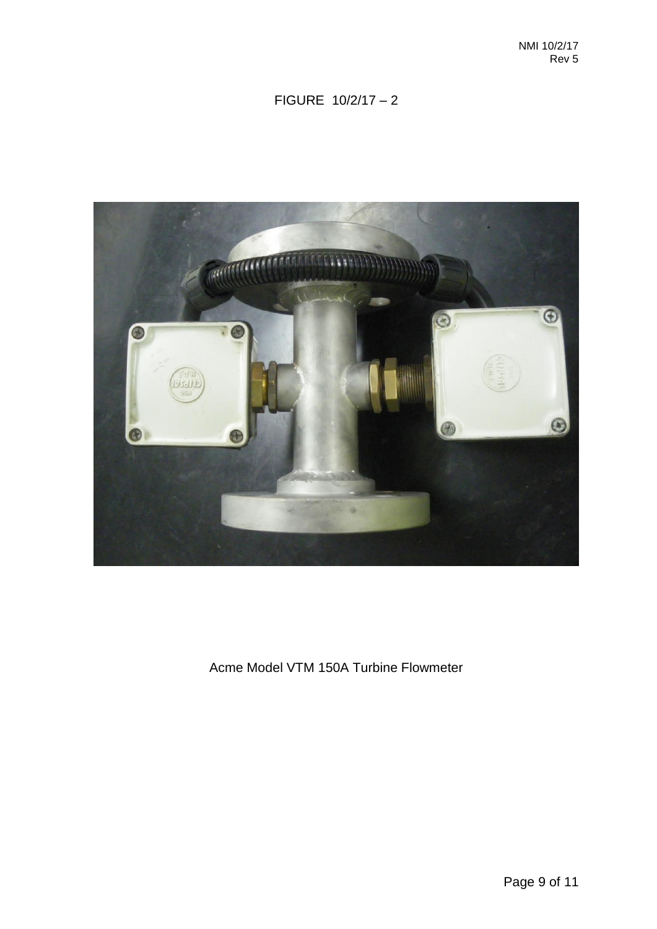

## Acme Model VTM 150A Turbine Flowmeter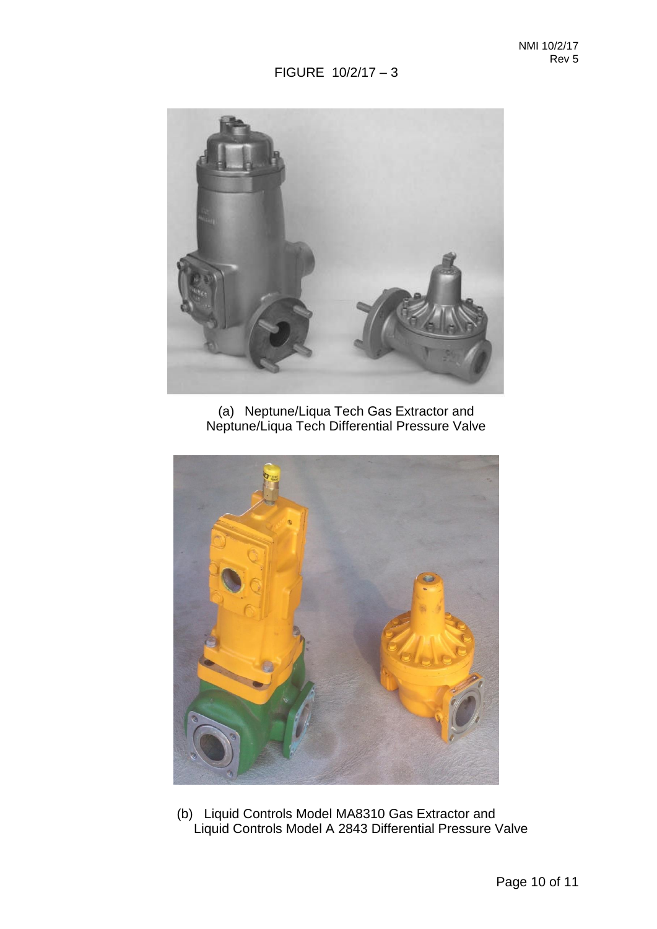

(a) Neptune/Liqua Tech Gas Extractor and Neptune/Liqua Tech Differential Pressure Valve



(b) Liquid Controls Model MA8310 Gas Extractor and Liquid Controls Model A 2843 Differential Pressure Valve